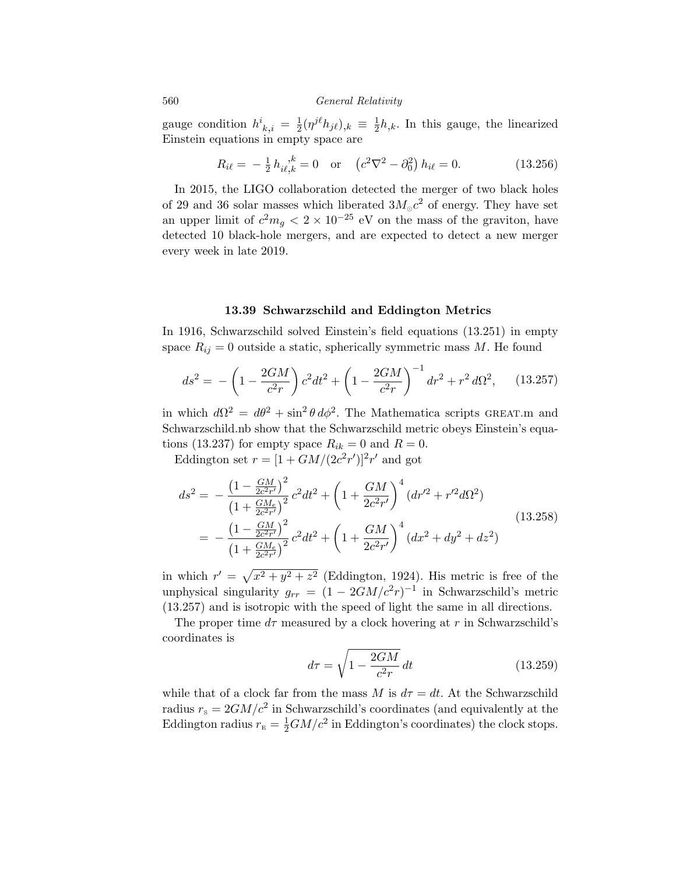560 *General Relativity*

gauge condition  $h^i_{k,i} = \frac{1}{2} (\eta^{j\ell} h_{j\ell})_{,k} \equiv \frac{1}{2} h_{,k}$ . In this gauge, the linearized Einstein equations in empty space are

$$
R_{i\ell} = -\frac{1}{2} h_{i\ell,k}^{\ \ k} = 0 \quad \text{or} \quad \left( c^2 \nabla^2 - \partial_0^2 \right) h_{i\ell} = 0. \tag{13.256}
$$

In 2015, the LIGO collaboration detected the merger of two black holes of 29 and 36 solar masses which liberated  $3M_{\odot}c^2$  of energy. They have set an upper limit of  $c^2 m_g < 2 \times 10^{-25}$  eV on the mass of the graviton, have detected 10 black-hole mergers, and are expected to detect a new merger every week in late 2019.

## 13.39 Schwarzschild and Eddington Metrics

In 1916, Schwarzschild solved Einstein's field equations (13.251) in empty space  $R_{ij} = 0$  outside a static, spherically symmetric mass  $M$ . He found

$$
ds^{2} = -\left(1 - \frac{2GM}{c^{2}r}\right)c^{2}dt^{2} + \left(1 - \frac{2GM}{c^{2}r}\right)^{-1}dr^{2} + r^{2}d\Omega^{2}, \quad (13.257)
$$

in which  $d\Omega^2 = d\theta^2 + \sin^2 \theta \, d\phi^2$ . The Mathematica scripts GREAT.m and Schwarzschild.nb show that the Schwarzschild metric obeys Einstein's equations (13.237) for empty space  $R_{ik} = 0$  and  $R = 0$ .

Eddington set  $r = [1 + GM/(2c^2r')]^2r'$  and got

$$
ds^{2} = -\frac{\left(1 - \frac{GM}{2c^{2}r'}\right)^{2}}{\left(1 + \frac{GM}{2c^{2}r'}\right)^{2}}c^{2}dt^{2} + \left(1 + \frac{GM}{2c^{2}r'}\right)^{4}\left(dr'^{2} + r'^{2}d\Omega^{2}\right)
$$

$$
= -\frac{\left(1 - \frac{GM}{2c^{2}r'}\right)^{2}}{\left(1 + \frac{GM}{2c^{2}r'}\right)^{2}}c^{2}dt^{2} + \left(1 + \frac{GM}{2c^{2}r'}\right)^{4}\left(dx^{2} + dy^{2} + dz^{2}\right)
$$
(13.258)

in which  $r' = \sqrt{x^2 + y^2 + z^2}$  (Eddington, 1924). His metric is free of the unphysical singularity  $g_{rr} = (1 - 2GM/c^2r)^{-1}$  in Schwarzschild's metric (13.257) and is isotropic with the speed of light the same in all directions.

The proper time  $d\tau$  measured by a clock hovering at r in Schwarzschild's coordinates is

$$
d\tau = \sqrt{1 - \frac{2GM}{c^2 r}} dt \qquad (13.259)
$$

while that of a clock far from the mass *M* is  $d\tau = dt$ . At the Schwarzschild radius  $r_s = 2GM/c^2$  in Schwarzschild's coordinates (and equivalently at the Eddington radius  $r_{\rm E} = \frac{1}{2}GM/c^2$  in Eddington's coordinates) the clock stops.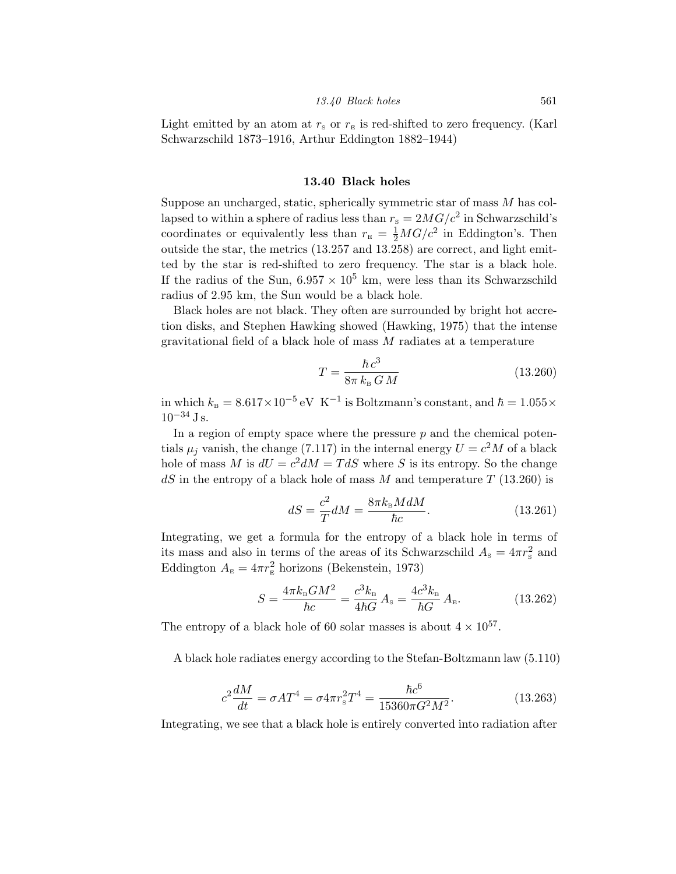Light emitted by an atom at  $r_{\rm s}$  or  $r_{\rm E}$  is red-shifted to zero frequency. (Karl Schwarzschild 1873–1916, Arthur Eddington 1882–1944)

## 13.40 Black holes

Suppose an uncharged, static, spherically symmetric star of mass *M* has collapsed to within a sphere of radius less than  $r_s = 2MG/c^2$  in Schwarzschild's coordinates or equivalently less than  $r_{\rm E} = \frac{1}{2} M G/c^2$  in Eddington's. Then outside the star, the metrics (13.257 and 13.258) are correct, and light emitted by the star is red-shifted to zero frequency. The star is a black hole. If the radius of the Sun,  $6.957 \times 10^5$  km, were less than its Schwarzschild radius of 2.95 km, the Sun would be a black hole.

Black holes are not black. They often are surrounded by bright hot accretion disks, and Stephen Hawking showed (Hawking, 1975) that the intense gravitational field of a black hole of mass *M* radiates at a temperature

$$
T = \frac{\hbar c^3}{8\pi k_B G M} \tag{13.260}
$$

in which  $k_B = 8.617 \times 10^{-5}$  eV K<sup>-1</sup> is Boltzmann's constant, and  $\hbar = 1.055 \times$  $10^{-34}$  J s.

In a region of empty space where the pressure *p* and the chemical potentials  $\mu_j$  vanish, the change (7.117) in the internal energy  $U = c^2 M$  of a black hole of mass *M* is  $dU = c^2 dM = T dS$  where *S* is its entropy. So the change *dS* in the entropy of a black hole of mass *M* and temperature *T* (13.260) is

$$
dS = \frac{c^2}{T} dM = \frac{8\pi k_\text{B} M dM}{\hbar c}.
$$
\n(13.261)

Integrating, we get a formula for the entropy of a black hole in terms of its mass and also in terms of the areas of its Schwarzschild  $A_{\rm s} = 4\pi r_{\rm s}^2$  and Eddington  $A_{\text{\tiny E}} = 4\pi r_{\text{\tiny E}}^2$  horizons (Bekenstein, 1973)

$$
S = \frac{4\pi k_{\rm B}GM^2}{\hbar c} = \frac{c^3 k_{\rm B}}{4\hbar G}A_{\rm s} = \frac{4c^3 k_{\rm B}}{\hbar G}A_{\rm E}.
$$
 (13.262)

The entropy of a black hole of 60 solar masses is about  $4 \times 10^{57}$ .

A black hole radiates energy according to the Stefan-Boltzmann law (5.110)

$$
c^2 \frac{dM}{dt} = \sigma A T^4 = \sigma 4 \pi r_s^2 T^4 = \frac{\hbar c^6}{15360 \pi G^2 M^2}.
$$
 (13.263)

Integrating, we see that a black hole is entirely converted into radiation after